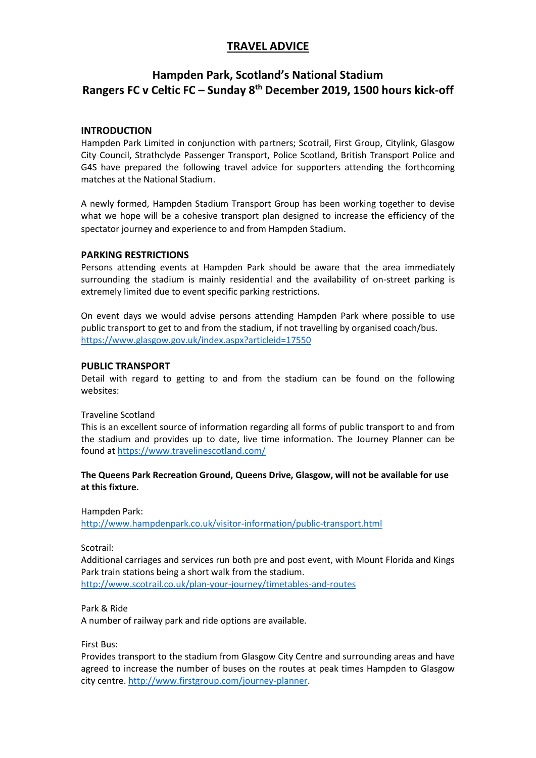## **TRAVEL ADVICE**

# **Hampden Park, Scotland's National Stadium Rangers FC v Celtic FC – Sunday 8th December 2019, 1500 hours kick-off**

## **INTRODUCTION**

Hampden Park Limited in conjunction with partners; Scotrail, First Group, Citylink, Glasgow City Council, Strathclyde Passenger Transport, Police Scotland, British Transport Police and G4S have prepared the following travel advice for supporters attending the forthcoming matches at the National Stadium.

A newly formed, Hampden Stadium Transport Group has been working together to devise what we hope will be a cohesive transport plan designed to increase the efficiency of the spectator journey and experience to and from Hampden Stadium.

## **PARKING RESTRICTIONS**

Persons attending events at Hampden Park should be aware that the area immediately surrounding the stadium is mainly residential and the availability of on-street parking is extremely limited due to event specific parking restrictions.

On event days we would advise persons attending Hampden Park where possible to use public transport to get to and from the stadium, if not travelling by organised coach/bus. <https://www.glasgow.gov.uk/index.aspx?articleid=17550>

## **PUBLIC TRANSPORT**

Detail with regard to getting to and from the stadium can be found on the following websites:

#### Traveline Scotland

This is an excellent source of information regarding all forms of public transport to and from the stadium and provides up to date, live time information. The Journey Planner can be found a[t https://www.travelinescotland.com/](https://www.travelinescotland.com/)

#### **The Queens Park Recreation Ground, Queens Drive, Glasgow, will not be available for use at this fixture.**

Hampden Park:

<http://www.hampdenpark.co.uk/visitor-information/public-transport.html>

Scotrail:

Additional carriages and services run both pre and post event, with Mount Florida and Kings Park train stations being a short walk from the stadium. <http://www.scotrail.co.uk/plan-your-journey/timetables-and-routes>

Park & Ride

A number of railway park and ride options are available.

First Bus:

Provides transport to the stadium from Glasgow City Centre and surrounding areas and have agreed to increase the number of buses on the routes at peak times Hampden to Glasgow city centre[. http://www.firstgroup.com/journey-planner.](http://www.firstgroup.com/journey-planner)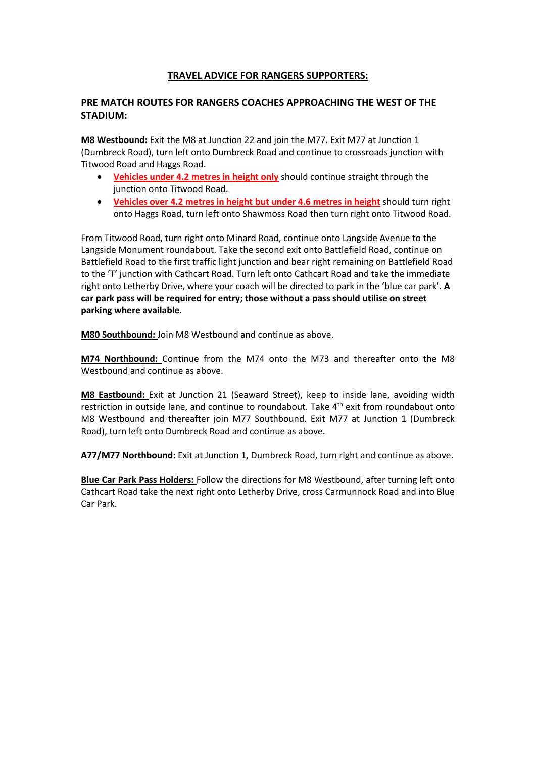## **TRAVEL ADVICE FOR RANGERS SUPPORTERS:**

## **PRE MATCH ROUTES FOR RANGERS COACHES APPROACHING THE WEST OF THE STADIUM:**

**M8 Westbound:** Exit the M8 at Junction 22 and join the M77. Exit M77 at Junction 1 (Dumbreck Road), turn left onto Dumbreck Road and continue to crossroads junction with Titwood Road and Haggs Road.

- **Vehicles under 4.2 metres in height only** should continue straight through the junction onto Titwood Road.
- **Vehicles over 4.2 metres in height but under 4.6 metres in height** should turn right onto Haggs Road, turn left onto Shawmoss Road then turn right onto Titwood Road.

From Titwood Road, turn right onto Minard Road, continue onto Langside Avenue to the Langside Monument roundabout. Take the second exit onto Battlefield Road, continue on Battlefield Road to the first traffic light junction and bear right remaining on Battlefield Road to the 'T' junction with Cathcart Road. Turn left onto Cathcart Road and take the immediate right onto Letherby Drive, where your coach will be directed to park in the 'blue car park'. **A car park pass will be required for entry; those without a pass should utilise on street parking where available**.

**M80 Southbound:** Join M8 Westbound and continue as above.

**M74 Northbound:** Continue from the M74 onto the M73 and thereafter onto the M8 Westbound and continue as above.

**M8 Eastbound:** Exit at Junction 21 (Seaward Street), keep to inside lane, avoiding width restriction in outside lane, and continue to roundabout. Take 4<sup>th</sup> exit from roundabout onto M8 Westbound and thereafter join M77 Southbound. Exit M77 at Junction 1 (Dumbreck Road), turn left onto Dumbreck Road and continue as above.

**A77/M77 Northbound:** Exit at Junction 1, Dumbreck Road, turn right and continue as above.

**Blue Car Park Pass Holders:** Follow the directions for M8 Westbound, after turning left onto Cathcart Road take the next right onto Letherby Drive, cross Carmunnock Road and into Blue Car Park.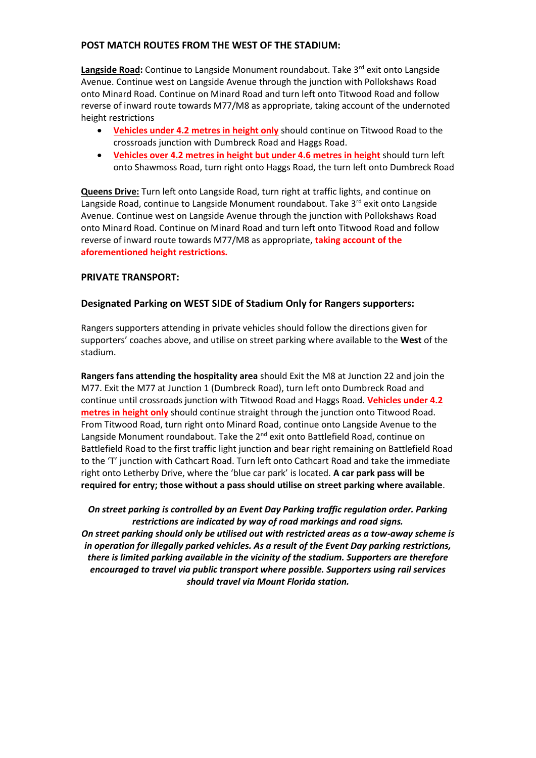#### **POST MATCH ROUTES FROM THE WEST OF THE STADIUM:**

Langside Road: Continue to Langside Monument roundabout. Take 3<sup>rd</sup> exit onto Langside Avenue. Continue west on Langside Avenue through the junction with Pollokshaws Road onto Minard Road. Continue on Minard Road and turn left onto Titwood Road and follow reverse of inward route towards M77/M8 as appropriate, taking account of the undernoted height restrictions

- **Vehicles under 4.2 metres in height only** should continue on Titwood Road to the crossroads junction with Dumbreck Road and Haggs Road.
- **Vehicles over 4.2 metres in height but under 4.6 metres in height** should turn left onto Shawmoss Road, turn right onto Haggs Road, the turn left onto Dumbreck Road

**Queens Drive:** Turn left onto Langside Road, turn right at traffic lights, and continue on Langside Road, continue to Langside Monument roundabout. Take 3<sup>rd</sup> exit onto Langside Avenue. Continue west on Langside Avenue through the junction with Pollokshaws Road onto Minard Road. Continue on Minard Road and turn left onto Titwood Road and follow reverse of inward route towards M77/M8 as appropriate, **taking account of the aforementioned height restrictions.**

#### **PRIVATE TRANSPORT:**

#### **Designated Parking on WEST SIDE of Stadium Only for Rangers supporters:**

Rangers supporters attending in private vehicles should follow the directions given for supporters' coaches above, and utilise on street parking where available to the **West** of the stadium.

**Rangers fans attending the hospitality area** should Exit the M8 at Junction 22 and join the M77. Exit the M77 at Junction 1 (Dumbreck Road), turn left onto Dumbreck Road and continue until crossroads junction with Titwood Road and Haggs Road. **Vehicles under 4.2 metres in height only** should continue straight through the junction onto Titwood Road. From Titwood Road, turn right onto Minard Road, continue onto Langside Avenue to the Langside Monument roundabout. Take the  $2^{nd}$  exit onto Battlefield Road, continue on Battlefield Road to the first traffic light junction and bear right remaining on Battlefield Road to the 'T' junction with Cathcart Road. Turn left onto Cathcart Road and take the immediate right onto Letherby Drive, where the 'blue car park' is located. **A car park pass will be required for entry; those without a pass should utilise on street parking where available**.

*On street parking is controlled by an Event Day Parking traffic regulation order. Parking restrictions are indicated by way of road markings and road signs. On street parking should only be utilised out with restricted areas as a tow-away scheme is in operation for illegally parked vehicles. As a result of the Event Day parking restrictions, there is limited parking available in the vicinity of the stadium. Supporters are therefore encouraged to travel via public transport where possible. Supporters using rail services should travel via Mount Florida station.*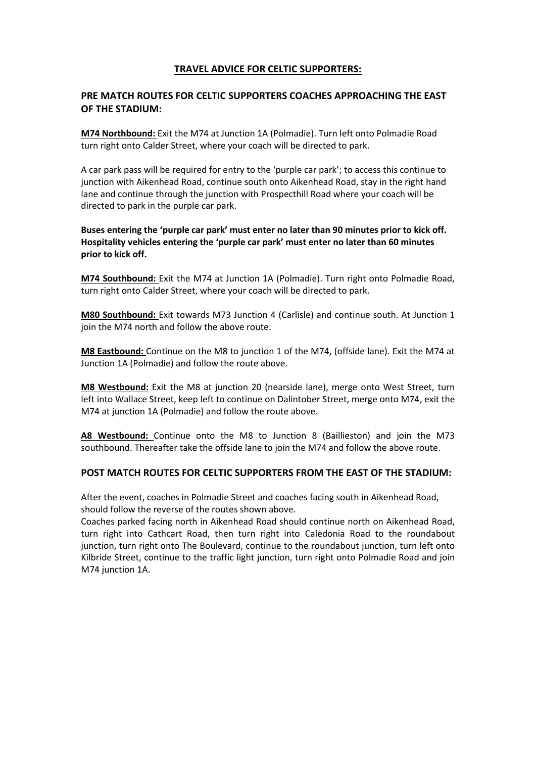## **TRAVEL ADVICE FOR CELTIC SUPPORTERS:**

## **PRE MATCH ROUTES FOR CELTIC SUPPORTERS COACHES APPROACHING THE EAST OF THE STADIUM:**

**M74 Northbound:** Exit the M74 at Junction 1A (Polmadie). Turn left onto Polmadie Road turn right onto Calder Street, where your coach will be directed to park.

A car park pass will be required for entry to the 'purple car park'; to access this continue to junction with Aikenhead Road, continue south onto Aikenhead Road, stay in the right hand lane and continue through the junction with Prospecthill Road where your coach will be directed to park in the purple car park.

**Buses entering the 'purple car park' must enter no later than 90 minutes prior to kick off. Hospitality vehicles entering the 'purple car park' must enter no later than 60 minutes prior to kick off.**

**M74 Southbound:** Exit the M74 at Junction 1A (Polmadie). Turn right onto Polmadie Road, turn right onto Calder Street, where your coach will be directed to park.

**M80 Southbound:** Exit towards M73 Junction 4 (Carlisle) and continue south. At Junction 1 join the M74 north and follow the above route.

**M8 Eastbound:** Continue on the M8 to junction 1 of the M74, (offside lane). Exit the M74 at Junction 1A (Polmadie) and follow the route above.

**M8 Westbound:** Exit the M8 at junction 20 (nearside lane), merge onto West Street, turn left into Wallace Street, keep left to continue on Dalintober Street, merge onto M74, exit the M74 at junction 1A (Polmadie) and follow the route above.

**A8 Westbound:** Continue onto the M8 to Junction 8 (Baillieston) and join the M73 southbound. Thereafter take the offside lane to join the M74 and follow the above route.

#### **POST MATCH ROUTES FOR CELTIC SUPPORTERS FROM THE EAST OF THE STADIUM:**

After the event, coaches in Polmadie Street and coaches facing south in Aikenhead Road, should follow the reverse of the routes shown above.

Coaches parked facing north in Aikenhead Road should continue north on Aikenhead Road, turn right into Cathcart Road, then turn right into Caledonia Road to the roundabout junction, turn right onto The Boulevard, continue to the roundabout junction, turn left onto Kilbride Street, continue to the traffic light junction, turn right onto Polmadie Road and join M74 junction 1A.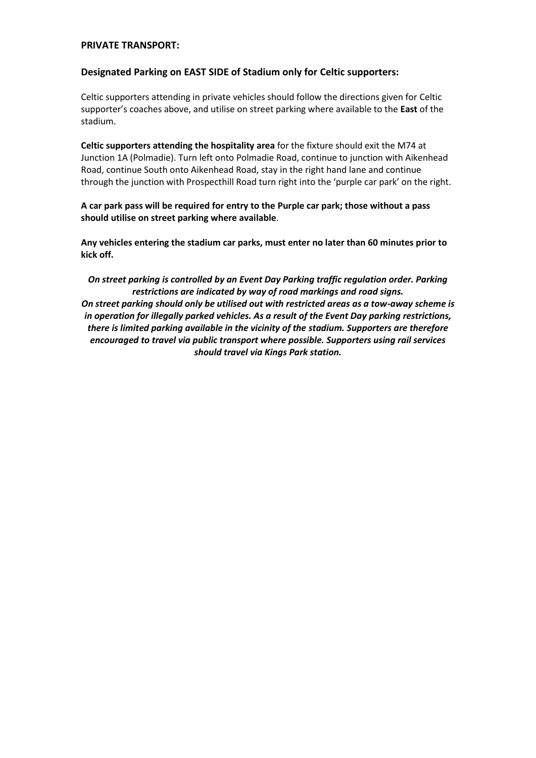#### **PRIVATE TRANSPORT:**

#### **Designated Parking on EAST SIDE of Stadium only for Celtic supporters:**

Celtic supporters attending in private vehicles should follow the directions given for Celtic supporter's coaches above, and utilise on street parking where available to the **East** of the stadium.

**Celtic supporters attending the hospitality area** for the fixture should exit the M74 at Junction 1A (Polmadie). Turn left onto Polmadie Road, continue to junction with Aikenhead Road, continue South onto Aikenhead Road, stay in the right hand lane and continue through the junction with Prospecthill Road turn right into the 'purple car park' on the right.

**A car park pass will be required for entry to the Purple car park; those without a pass should utilise on street parking where available**.

**Any vehicles entering the stadium car parks, must enter no later than 60 minutes prior to kick off.**

*On street parking is controlled by an Event Day Parking traffic regulation order. Parking restrictions are indicated by way of road markings and road signs. On street parking should only be utilised out with restricted areas as a tow-away scheme is in operation for illegally parked vehicles. As a result of the Event Day parking restrictions, there is limited parking available in the vicinity of the stadium. Supporters are therefore encouraged to travel via public transport where possible. Supporters using rail services should travel via Kings Park station.*